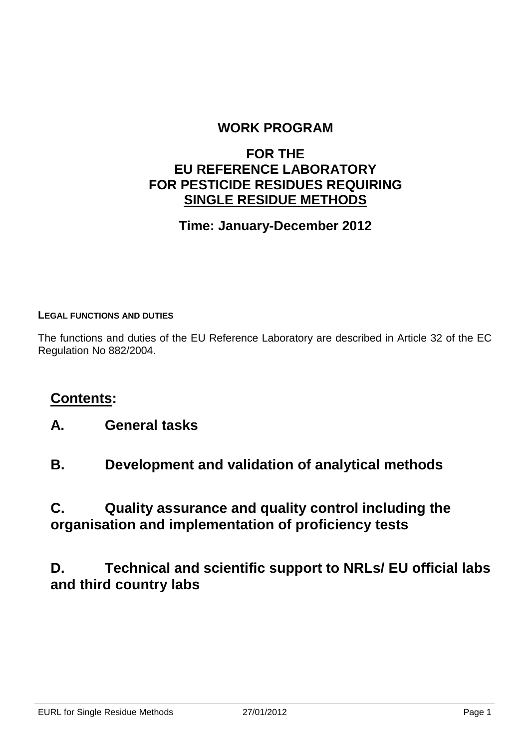## **WORK PROGRAM**

## **FOR THE EU REFERENCE LABORATORY FOR PESTICIDE RESIDUES REQUIRING SINGLE RESIDUE METHODS**

## **Time: January-December 2012**

#### **LEGAL FUNCTIONS AND DUTIES**

The functions and duties of the EU Reference Laboratory are described in Article 32 of the EC Regulation No 882/2004.

## **Contents:**

- **A. General tasks**
- **B. Development and validation of analytical methods**

## **C. Quality assurance and quality control including the organisation and implementation of proficiency tests**

## **D. Technical and scientific support to NRLs/ EU official labs and third country labs**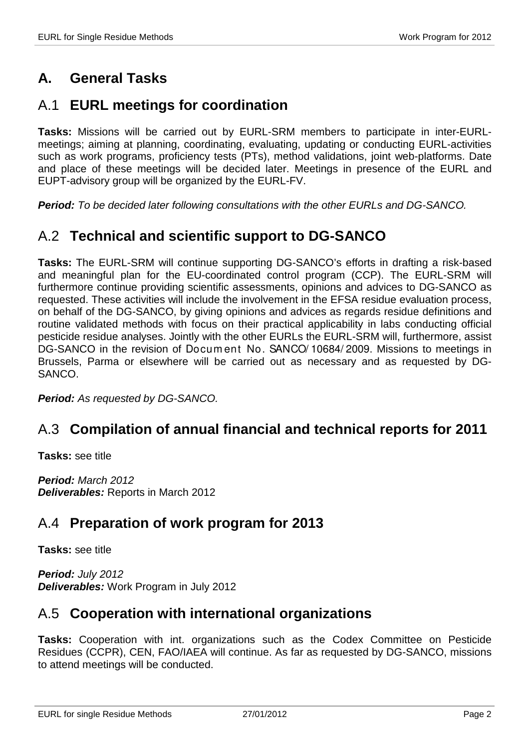# **A. General Tasks**

## A.1 **EURL meetings for coordination**

**Tasks:** Missions will be carried out by EURL-SRM members to participate in inter-EURLmeetings; aiming at planning, coordinating, evaluating, updating or conducting EURL-activities such as work programs, proficiency tests (PTs), method validations, joint web-platforms. Date and place of these meetings will be decided later. Meetings in presence of the EURL and EUPT-advisory group will be organized by the EURL-FV.

**Period:** To be decided later following consultations with the other EURLs and DG-SANCO.

## A.2 **Technical and scientific support to DG-SANCO**

**Tasks:** The EURL-SRM will continue supporting DG-SANCO's efforts in drafting a risk-based and meaningful plan for the EU-coordinated control program (CCP). The EURL-SRM will furthermore continue providing scientific assessments, opinions and advices to DG-SANCO as requested. These activities will include the involvement in the EFSA residue evaluation process, on behalf of the DG-SANCO, by giving opinions and advices as regards residue definitions and routine validated methods with focus on their practical applicability in labs conducting official pesticide residue analyses. Jointly with the other EURLs the EURL-SRM will, furthermore, assist DG-SANCO in the revision of Docum ent No. SANCO/ 10684/ 2009. Missions to meetings in Brussels, Parma or elsewhere will be carried out as necessary and as requested by DG-SANCO.

**Period:** As requested by DG-SANCO.

## A.3 **Compilation of annual financial and technical reports for 2011**

**Tasks:** see title

**Period:** March 2012 **Deliverables:** Reports in March 2012

## A.4 **Preparation of work program for 2013**

**Tasks:** see title

**Period:** July 2012 **Deliverables:** Work Program in July 2012

## A.5 **Cooperation with international organizations**

**Tasks:** Cooperation with int. organizations such as the Codex Committee on Pesticide Residues (CCPR), CEN, FAO/IAEA will continue. As far as requested by DG-SANCO, missions to attend meetings will be conducted.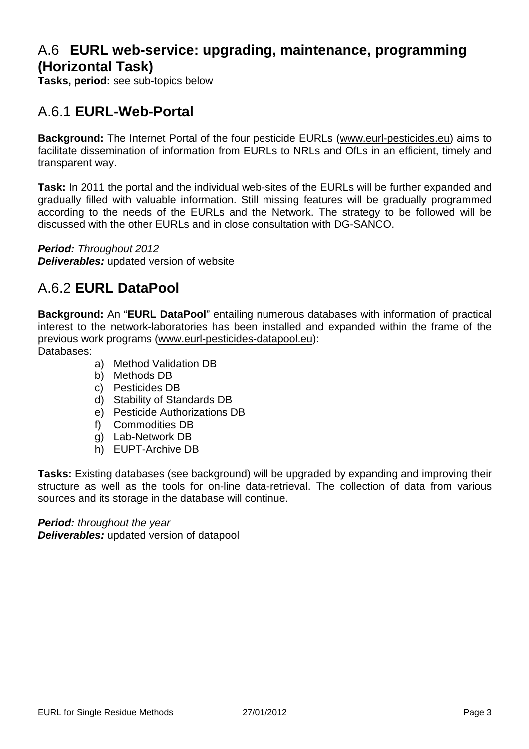## A.6 **EURL web-service: upgrading, maintenance, programming (Horizontal Task)**

**Tasks, period:** see sub-topics below

## A.6.1 **EURL-Web-Portal**

**Background:** The Internet Portal of the four pesticide EURLs (www.eurl-pesticides.eu) aims to facilitate dissemination of information from EURLs to NRLs and OfLs in an efficient, timely and transparent way.

**Task:** In 2011 the portal and the individual web-sites of the EURLs will be further expanded and gradually filled with valuable information. Still missing features will be gradually programmed according to the needs of the EURLs and the Network. The strategy to be followed will be discussed with the other EURLs and in close consultation with DG-SANCO.

**Period:** Throughout 2012

**Deliverables:** updated version of website

## A.6.2 **EURL DataPool**

**Background:** An "**EURL DataPool**" entailing numerous databases with information of practical interest to the network-laboratories has been installed and expanded within the frame of the previous work programs (www.eurl-pesticides-datapool.eu): Databases:

- a) Method Validation DB
- b) Methods DB
- c) Pesticides DB
- d) Stability of Standards DB
- e) Pesticide Authorizations DB
- f) Commodities DB
- g) Lab-Network DB
- h) EUPT-Archive DB

**Tasks:** Existing databases (see background) will be upgraded by expanding and improving their structure as well as the tools for on-line data-retrieval. The collection of data from various sources and its storage in the database will continue.

**Period:** throughout the year **Deliverables:** updated version of datapool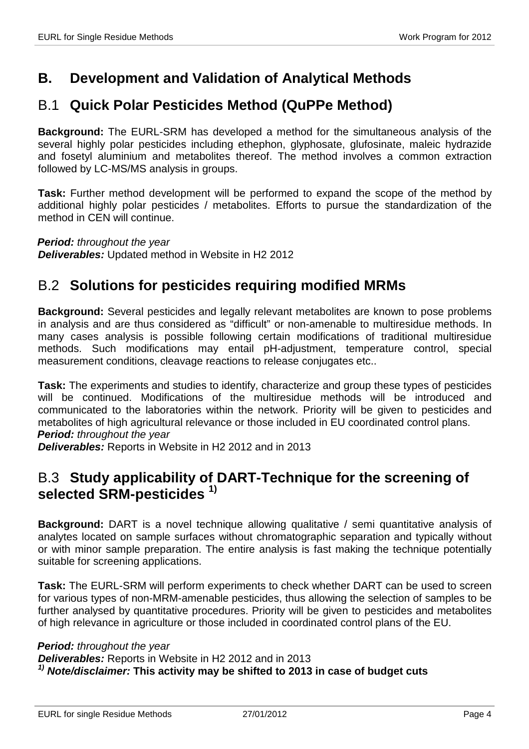## **B. Development and Validation of Analytical Methods**

## B.1 **Quick Polar Pesticides Method (QuPPe Method)**

**Background:** The EURL-SRM has developed a method for the simultaneous analysis of the several highly polar pesticides including ethephon, glyphosate, glufosinate, maleic hydrazide and fosetyl aluminium and metabolites thereof. The method involves a common extraction followed by LC-MS/MS analysis in groups.

**Task:** Further method development will be performed to expand the scope of the method by additional highly polar pesticides / metabolites. Efforts to pursue the standardization of the method in CEN will continue.

**Period:** throughout the year **Deliverables:** Updated method in Website in H2 2012

## B.2 **Solutions for pesticides requiring modified MRMs**

**Background:** Several pesticides and legally relevant metabolites are known to pose problems in analysis and are thus considered as "difficult" or non-amenable to multiresidue methods. In many cases analysis is possible following certain modifications of traditional multiresidue methods. Such modifications may entail pH-adjustment, temperature control, special measurement conditions, cleavage reactions to release conjugates etc..

**Task:** The experiments and studies to identify, characterize and group these types of pesticides will be continued. Modifications of the multiresidue methods will be introduced and communicated to the laboratories within the network. Priority will be given to pesticides and metabolites of high agricultural relevance or those included in EU coordinated control plans. **Period:** throughout the year

**Deliverables:** Reports in Website in H2 2012 and in 2013

## B.3 **Study applicability of DART-Technique for the screening of selected SRM-pesticides 1)**

**Background:** DART is a novel technique allowing qualitative / semi quantitative analysis of analytes located on sample surfaces without chromatographic separation and typically without or with minor sample preparation. The entire analysis is fast making the technique potentially suitable for screening applications.

**Task:** The EURL-SRM will perform experiments to check whether DART can be used to screen for various types of non-MRM-amenable pesticides, thus allowing the selection of samples to be further analysed by quantitative procedures. Priority will be given to pesticides and metabolites of high relevance in agriculture or those included in coordinated control plans of the EU.

#### **Period:** throughout the year

**Deliverables:** Reports in Website in H2 2012 and in 2013 **1) Note/disclaimer: This activity may be shifted to 2013 in case of budget cuts**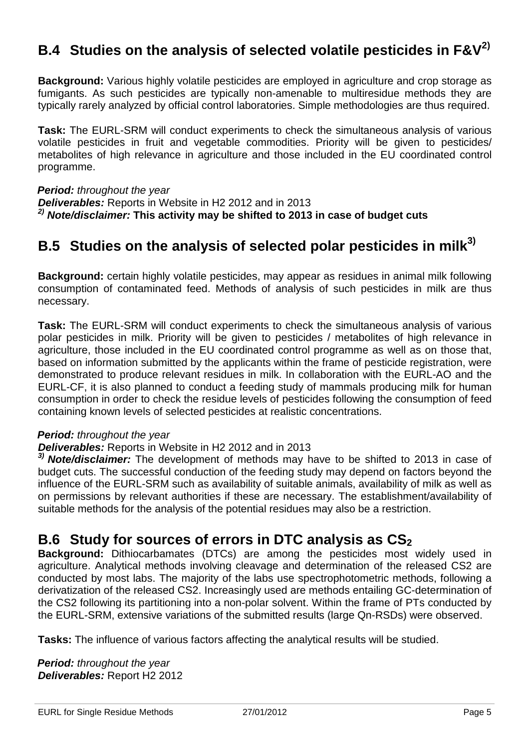# **B.4 Studies on the analysis of selected volatile pesticides in F&V2)**

**Background:** Various highly volatile pesticides are employed in agriculture and crop storage as fumigants. As such pesticides are typically non-amenable to multiresidue methods they are typically rarely analyzed by official control laboratories. Simple methodologies are thus required.

**Task:** The EURL-SRM will conduct experiments to check the simultaneous analysis of various volatile pesticides in fruit and vegetable commodities. Priority will be given to pesticides/ metabolites of high relevance in agriculture and those included in the EU coordinated control programme.

**Period:** throughout the year **Deliverables:** Reports in Website in H2 2012 and in 2013 **2) Note/disclaimer: This activity may be shifted to 2013 in case of budget cuts**

# **B.5 Studies on the analysis of selected polar pesticides in milk3)**

**Background:** certain highly volatile pesticides, may appear as residues in animal milk following consumption of contaminated feed. Methods of analysis of such pesticides in milk are thus necessary.

**Task:** The EURL-SRM will conduct experiments to check the simultaneous analysis of various polar pesticides in milk. Priority will be given to pesticides / metabolites of high relevance in agriculture, those included in the EU coordinated control programme as well as on those that, based on information submitted by the applicants within the frame of pesticide registration, were demonstrated to produce relevant residues in milk. In collaboration with the EURL-AO and the EURL-CF, it is also planned to conduct a feeding study of mammals producing milk for human consumption in order to check the residue levels of pesticides following the consumption of feed containing known levels of selected pesticides at realistic concentrations.

#### **Period:** throughout the year

#### **Deliverables:** Reports in Website in H2 2012 and in 2013

**3) Note/disclaimer:** The development of methods may have to be shifted to 2013 in case of budget cuts. The successful conduction of the feeding study may depend on factors beyond the influence of the EURL-SRM such as availability of suitable animals, availability of milk as well as on permissions by relevant authorities if these are necessary. The establishment/availability of suitable methods for the analysis of the potential residues may also be a restriction.

## **B.6 Study for sources of errors in DTC analysis as CS<sup>2</sup>**

**Background:** Dithiocarbamates (DTCs) are among the pesticides most widely used in agriculture. Analytical methods involving cleavage and determination of the released CS2 are conducted by most labs. The majority of the labs use spectrophotometric methods, following a derivatization of the released CS2. Increasingly used are methods entailing GC-determination of the CS2 following its partitioning into a non-polar solvent. Within the frame of PTs conducted by the EURL-SRM, extensive variations of the submitted results (large Qn-RSDs) were observed.

**Tasks:** The influence of various factors affecting the analytical results will be studied.

**Period:** throughout the year **Deliverables:** Report H2 2012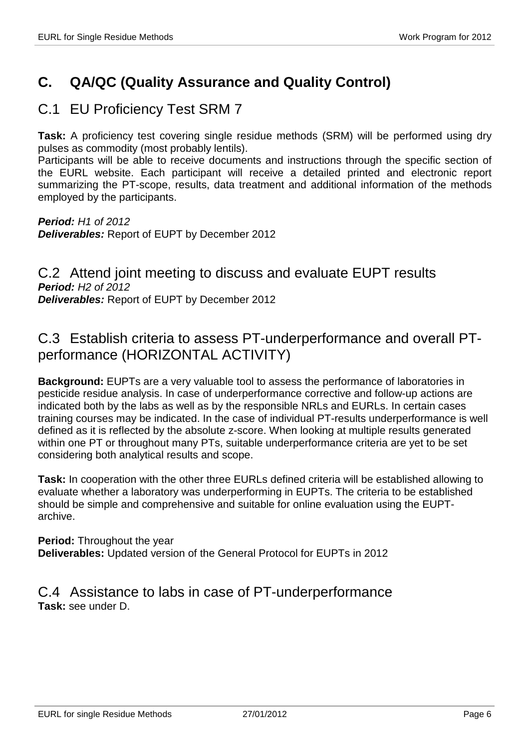# **C. QA/QC (Quality Assurance and Quality Control)**

## C.1 EU Proficiency Test SRM 7

**Task:** A proficiency test covering single residue methods (SRM) will be performed using dry pulses as commodity (most probably lentils).

Participants will be able to receive documents and instructions through the specific section of the EURL website. Each participant will receive a detailed printed and electronic report summarizing the PT-scope, results, data treatment and additional information of the methods employed by the participants.

**Period:** H1 of 2012 **Deliverables:** Report of EUPT by December 2012

C.2 Attend joint meeting to discuss and evaluate EUPT results **Period:** H2 of 2012 **Deliverables:** Report of EUPT by December 2012

## C.3 Establish criteria to assess PT-underperformance and overall PTperformance (HORIZONTAL ACTIVITY)

**Background:** EUPTs are a very valuable tool to assess the performance of laboratories in pesticide residue analysis. In case of underperformance corrective and follow-up actions are indicated both by the labs as well as by the responsible NRLs and EURLs. In certain cases training courses may be indicated. In the case of individual PT-results underperformance is well defined as it is reflected by the absolute z-score. When looking at multiple results generated within one PT or throughout many PTs, suitable underperformance criteria are yet to be set considering both analytical results and scope.

**Task:** In cooperation with the other three EURLs defined criteria will be established allowing to evaluate whether a laboratory was underperforming in EUPTs. The criteria to be established should be simple and comprehensive and suitable for online evaluation using the EUPTarchive.

**Period:** Throughout the year **Deliverables:** Updated version of the General Protocol for EUPTs in 2012

C.4 Assistance to labs in case of PT-underperformance **Task:** see under D.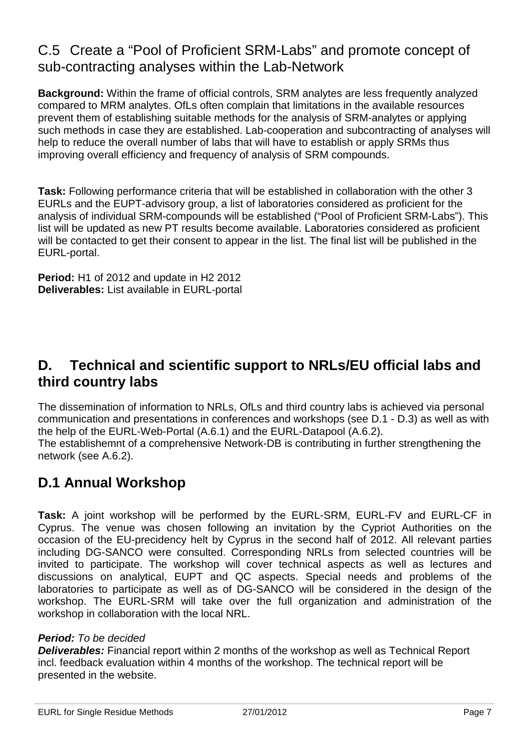## C.5 Create a "Pool of Proficient SRM-Labs" and promote concept of sub-contracting analyses within the Lab-Network

**Background:** Within the frame of official controls, SRM analytes are less frequently analyzed compared to MRM analytes. OfLs often complain that limitations in the available resources prevent them of establishing suitable methods for the analysis of SRM-analytes or applying such methods in case they are established. Lab-cooperation and subcontracting of analyses will help to reduce the overall number of labs that will have to establish or apply SRMs thus improving overall efficiency and frequency of analysis of SRM compounds.

**Task:** Following performance criteria that will be established in collaboration with the other 3 EURLs and the EUPT-advisory group, a list of laboratories considered as proficient for the analysis of individual SRM-compounds will be established ("Pool of Proficient SRM-Labs"). This list will be updated as new PT results become available. Laboratories considered as proficient will be contacted to get their consent to appear in the list. The final list will be published in the EURL-portal.

**Period:** H1 of 2012 and update in H2 2012 **Deliverables:** List available in EURL-portal

## **D. Technical and scientific support to NRLs/EU official labs and third country labs**

The dissemination of information to NRLs, OfLs and third country labs is achieved via personal communication and presentations in conferences and workshops (see D.1 - D.3) as well as with the help of the EURL-Web-Portal (A.6.1) and the EURL-Datapool (A.6.2). The establishemnt of a comprehensive Network-DB is contributing in further strengthening the network (see A.6.2).

# **D.1 Annual Workshop**

**Task:** A joint workshop will be performed by the EURL-SRM, EURL-FV and EURL-CF in Cyprus. The venue was chosen following an invitation by the Cypriot Authorities on the occasion of the EU-precidency helt by Cyprus in the second half of 2012. All relevant parties including DG-SANCO were consulted. Corresponding NRLs from selected countries will be invited to participate. The workshop will cover technical aspects as well as lectures and discussions on analytical, EUPT and QC aspects. Special needs and problems of the laboratories to participate as well as of DG-SANCO will be considered in the design of the workshop. The EURL-SRM will take over the full organization and administration of the workshop in collaboration with the local NRL.

#### **Period:** To be decided

**Deliverables:** Financial report within 2 months of the workshop as well as Technical Report incl. feedback evaluation within 4 months of the workshop. The technical report will be presented in the website.